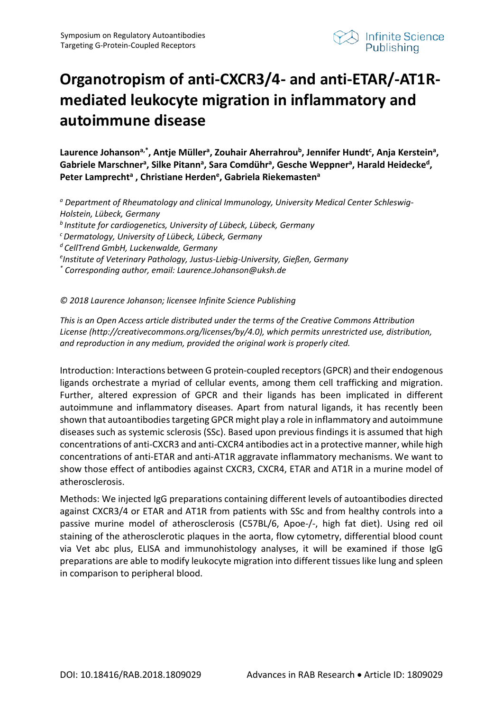

## **Organotropism of anti-CXCR3/4- and anti-ETAR/-AT1Rmediated leukocyte migration in inflammatory and autoimmune disease**

Laurence Johanson<sup>a,\*</sup>, Antje Müller<sup>a</sup>, Zouhair Aherrahrou<sup>b</sup>, Jennifer Hundt<sup>c</sup>, Anja Kerstein<sup>a</sup>, Gabriele Marschner<sup>a</sup>, Silke Pitann<sup>a</sup>, Sara Comdühr<sup>a</sup>, Gesche Weppner<sup>a</sup>, Harald Heidecke<sup>d</sup>, Peter Lamprecht<sup>a</sup>, Christiane Herden<sup>e</sup>, Gabriela Riekemasten<sup>a</sup>

*<sup>a</sup> Department of Rheumatology and clinical Immunology, University Medical Center Schleswig-Holstein, Lübeck, Germany b Institute for cardiogenetics, University of Lübeck, Lübeck, Germany c Dermatology, University of Lübeck, Lübeck, Germany d CellTrend GmbH, Luckenwalde, Germany e Institute of Veterinary Pathology, Justus-Liebig-University, Gießen, Germany \* Corresponding author, email: Laurence.Johanson@uksh.de*

## *© 2018 Laurence Johanson; licensee Infinite Science Publishing*

*This is an Open Access article distributed under the terms of the Creative Commons Attribution License (http://creativecommons.org/licenses/by/4.0), which permits unrestricted use, distribution, and reproduction in any medium, provided the original work is properly cited.*

Introduction: Interactions between G protein-coupled receptors (GPCR) and their endogenous ligands orchestrate a myriad of cellular events, among them cell trafficking and migration. Further, altered expression of GPCR and their ligands has been implicated in different autoimmune and inflammatory diseases. Apart from natural ligands, it has recently been shown that autoantibodies targeting GPCR might play a role in inflammatory and autoimmune diseases such as systemic sclerosis (SSc). Based upon previous findings it is assumed that high concentrations of anti-CXCR3 and anti-CXCR4 antibodies act in a protective manner, while high concentrations of anti-ETAR and anti-AT1R aggravate inflammatory mechanisms. We want to show those effect of antibodies against CXCR3, CXCR4, ETAR and AT1R in a murine model of atherosclerosis.

Methods: We injected IgG preparations containing different levels of autoantibodies directed against CXCR3/4 or ETAR and AT1R from patients with SSc and from healthy controls into a passive murine model of atherosclerosis (C57BL/6, Apoe-/-, high fat diet). Using red oil staining of the atherosclerotic plaques in the aorta, flow cytometry, differential blood count via Vet abc plus, ELISA and immunohistology analyses, it will be examined if those IgG preparations are able to modify leukocyte migration into different tissues like lung and spleen in comparison to peripheral blood.